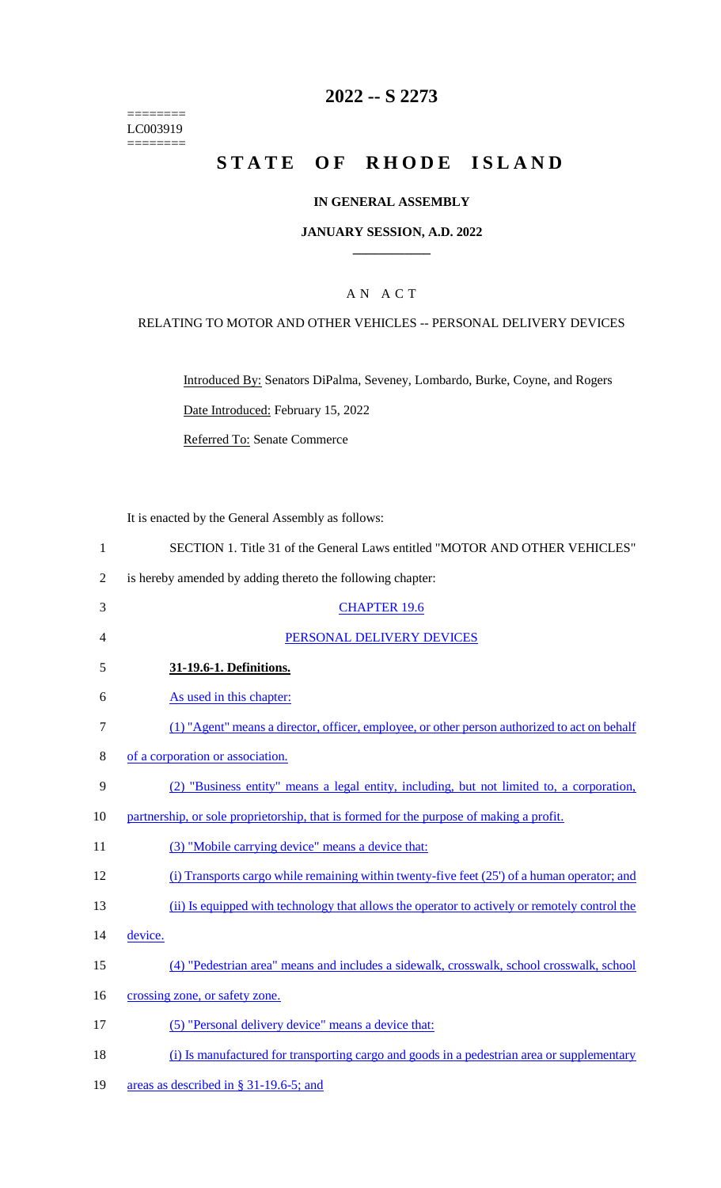======== LC003919  $=$ 

# **2022 -- S 2273**

# **STATE OF RHODE ISLAND**

### **IN GENERAL ASSEMBLY**

#### **JANUARY SESSION, A.D. 2022 \_\_\_\_\_\_\_\_\_\_\_\_**

### A N A C T

### RELATING TO MOTOR AND OTHER VEHICLES -- PERSONAL DELIVERY DEVICES

Introduced By: Senators DiPalma, Seveney, Lombardo, Burke, Coyne, and Rogers

Date Introduced: February 15, 2022

Referred To: Senate Commerce

It is enacted by the General Assembly as follows:

| SECTION 1. Title 31 of the General Laws entitled "MOTOR AND OTHER VEHICLES" |  |  |  |  |  |  |
|-----------------------------------------------------------------------------|--|--|--|--|--|--|
|                                                                             |  |  |  |  |  |  |

2 is hereby amended by adding thereto the following chapter:

| 3  | <b>CHAPTER 19.6</b>                                                                           |
|----|-----------------------------------------------------------------------------------------------|
| 4  | PERSONAL DELIVERY DEVICES                                                                     |
| 5  | 31-19.6-1. Definitions.                                                                       |
| 6  | As used in this chapter:                                                                      |
| 7  | (1) "Agent" means a director, officer, employee, or other person authorized to act on behalf  |
| 8  | of a corporation or association.                                                              |
| 9  | (2) "Business entity" means a legal entity, including, but not limited to, a corporation,     |
| 10 | partnership, or sole proprietorship, that is formed for the purpose of making a profit.       |
| 11 | (3) "Mobile carrying device" means a device that:                                             |
| 12 | (i) Transports cargo while remaining within twenty-five feet (25') of a human operator; and   |
| 13 | (ii) Is equipped with technology that allows the operator to actively or remotely control the |
| 14 | device.                                                                                       |
| 15 | (4) "Pedestrian area" means and includes a sidewalk, crosswalk, school crosswalk, school      |
| 16 | crossing zone, or safety zone.                                                                |
| 17 | (5) "Personal delivery device" means a device that:                                           |
| 18 | (i) Is manufactured for transporting cargo and goods in a pedestrian area or supplementary    |
| 19 | areas as described in § 31-19.6-5; and                                                        |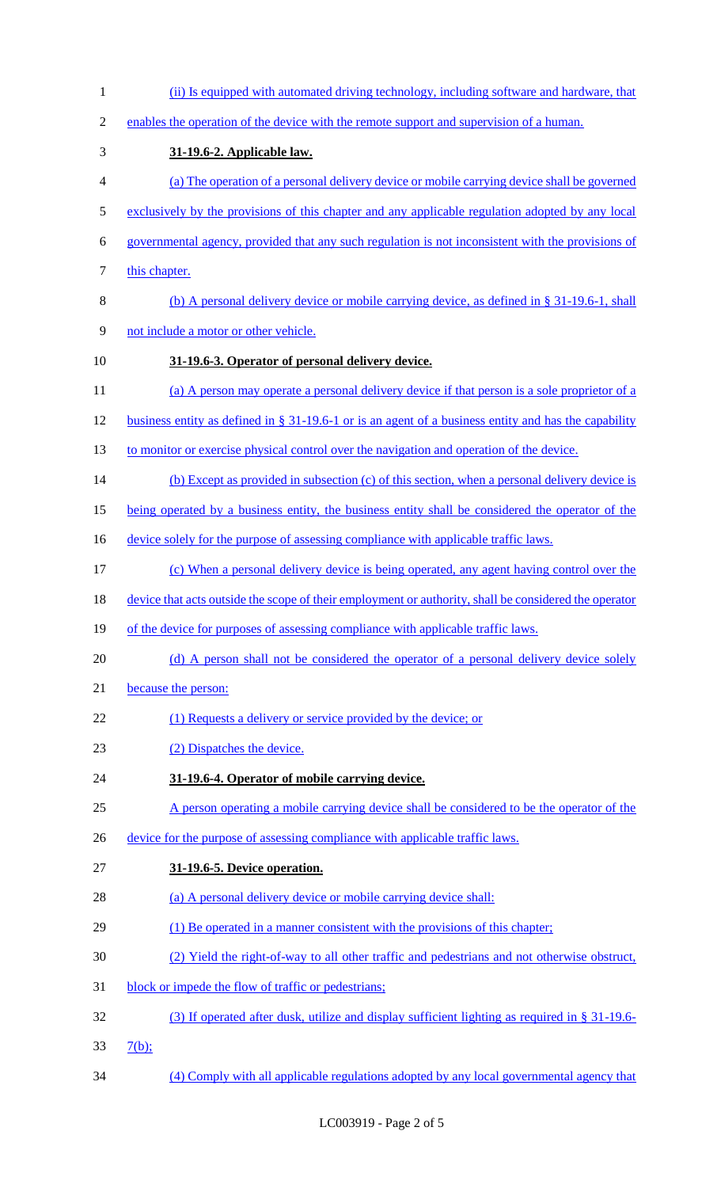| $\mathbf{1}$  | (ii) Is equipped with automated driving technology, including software and hardware, that               |
|---------------|---------------------------------------------------------------------------------------------------------|
| $\mathbf{2}$  | enables the operation of the device with the remote support and supervision of a human.                 |
| 3             | 31-19.6-2. Applicable law.                                                                              |
| 4             | (a) The operation of a personal delivery device or mobile carrying device shall be governed             |
| $\mathfrak s$ | exclusively by the provisions of this chapter and any applicable regulation adopted by any local        |
| 6             | governmental agency, provided that any such regulation is not inconsistent with the provisions of       |
| 7             | this chapter.                                                                                           |
| 8             | (b) A personal delivery device or mobile carrying device, as defined in $\S 31-19.6-1$ , shall          |
| 9             | not include a motor or other vehicle.                                                                   |
| 10            | 31-19.6-3. Operator of personal delivery device.                                                        |
| 11            | (a) A person may operate a personal delivery device if that person is a sole proprietor of a            |
| 12            | business entity as defined in $\S 31-19.6-1$ or is an agent of a business entity and has the capability |
| 13            | to monitor or exercise physical control over the navigation and operation of the device.                |
| 14            | (b) Except as provided in subsection (c) of this section, when a personal delivery device is            |
| 15            | being operated by a business entity, the business entity shall be considered the operator of the        |
| 16            | device solely for the purpose of assessing compliance with applicable traffic laws.                     |
| 17            | (c) When a personal delivery device is being operated, any agent having control over the                |
| 18            | device that acts outside the scope of their employment or authority, shall be considered the operator   |
| 19            | of the device for purposes of assessing compliance with applicable traffic laws.                        |
| 20            | (d) A person shall not be considered the operator of a personal delivery device solely                  |
| 21            | because the person:                                                                                     |
| 22            | (1) Requests a delivery or service provided by the device; or                                           |
| 23            | (2) Dispatches the device.                                                                              |
| 24            | 31-19.6-4. Operator of mobile carrying device.                                                          |
| 25            | A person operating a mobile carrying device shall be considered to be the operator of the               |
| 26            | device for the purpose of assessing compliance with applicable traffic laws.                            |
| 27            | 31-19.6-5. Device operation.                                                                            |
| 28            | (a) A personal delivery device or mobile carrying device shall:                                         |
| 29            | (1) Be operated in a manner consistent with the provisions of this chapter;                             |
| 30            | (2) Yield the right-of-way to all other traffic and pedestrians and not otherwise obstruct,             |
| 31            | block or impede the flow of traffic or pedestrians;                                                     |
| 32            | (3) If operated after dusk, utilize and display sufficient lighting as required in $\S$ 31-19.6-        |
| 33            | $7(b)$ ;                                                                                                |
| 34            | (4) Comply with all applicable regulations adopted by any local governmental agency that                |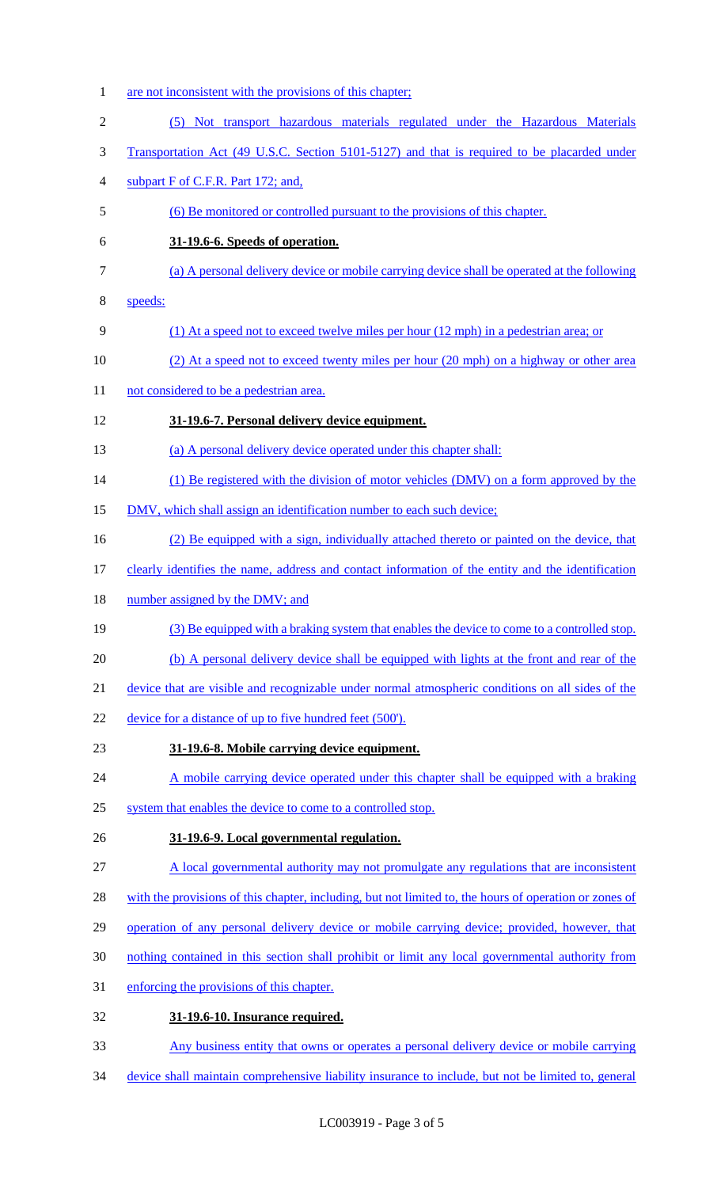1 are not inconsistent with the provisions of this chapter; (5) Not transport hazardous materials regulated under the Hazardous Materials Transportation Act (49 U.S.C. Section 5101-5127) and that is required to be placarded under subpart F of C.F.R. Part 172; and, (6) Be monitored or controlled pursuant to the provisions of this chapter. **31-19.6-6. Speeds of operation.**  (a) A personal delivery device or mobile carrying device shall be operated at the following speeds: (1) At a speed not to exceed twelve miles per hour (12 mph) in a pedestrian area; or 10 (2) At a speed not to exceed twenty miles per hour (20 mph) on a highway or other area 11 not considered to be a pedestrian area. **31-19.6-7. Personal delivery device equipment.**  (a) A personal delivery device operated under this chapter shall: 14 (1) Be registered with the division of motor vehicles (DMV) on a form approved by the 15 DMV, which shall assign an identification number to each such device; (2) Be equipped with a sign, individually attached thereto or painted on the device, that clearly identifies the name, address and contact information of the entity and the identification 18 number assigned by the DMV; and (3) Be equipped with a braking system that enables the device to come to a controlled stop. (b) A personal delivery device shall be equipped with lights at the front and rear of the device that are visible and recognizable under normal atmospheric conditions on all sides of the 22 device for a distance of up to five hundred feet (500'). **31-19.6-8. Mobile carrying device equipment.**  24 A mobile carrying device operated under this chapter shall be equipped with a braking 25 system that enables the device to come to a controlled stop. **31-19.6-9. Local governmental regulation.**  A local governmental authority may not promulgate any regulations that are inconsistent 28 with the provisions of this chapter, including, but not limited to, the hours of operation or zones of 29 operation of any personal delivery device or mobile carrying device; provided, however, that nothing contained in this section shall prohibit or limit any local governmental authority from enforcing the provisions of this chapter. **31-19.6-10. Insurance required.**  Any business entity that owns or operates a personal delivery device or mobile carrying device shall maintain comprehensive liability insurance to include, but not be limited to, general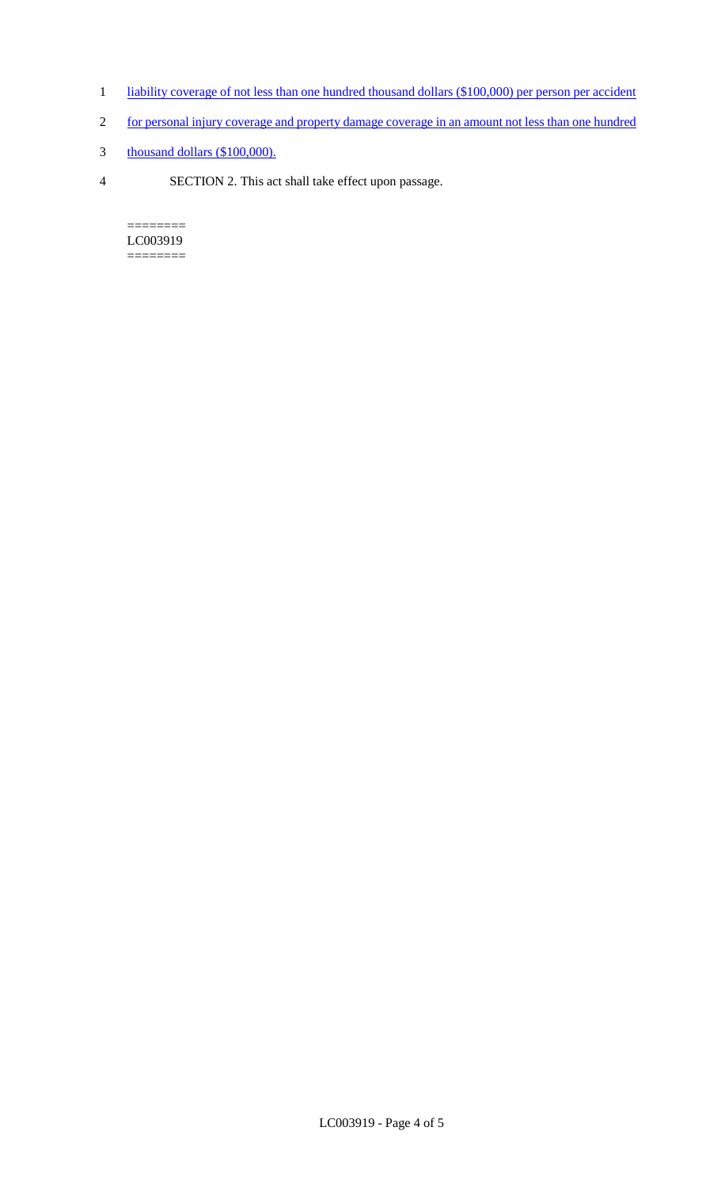- 1 liability coverage of not less than one hundred thousand dollars (\$100,000) per person per accident
- 2 for personal injury coverage and property damage coverage in an amount not less than one hundred
- 3 thousand dollars (\$100,000).
- 4 SECTION 2. This act shall take effect upon passage.

======== LC003919  $=$